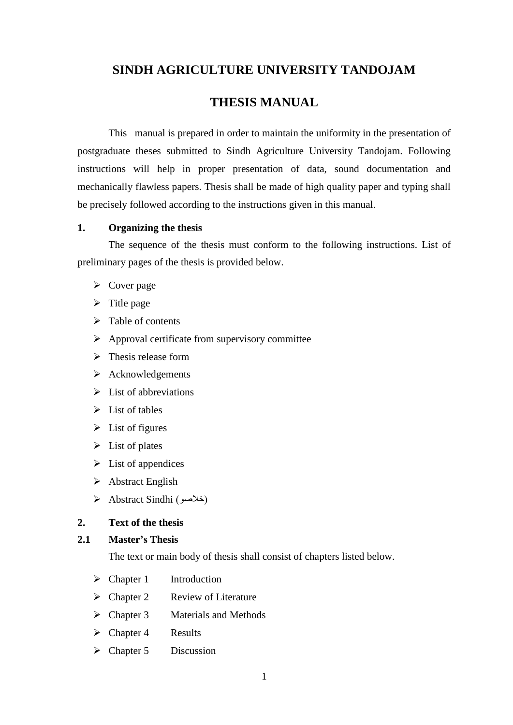# **SINDH AGRICULTURE UNIVERSITY TANDOJAM**

# **THESIS MANUAL**

This manual is prepared in order to maintain the uniformity in the presentation of postgraduate theses submitted to Sindh Agriculture University Tandojam. Following instructions will help in proper presentation of data, sound documentation and mechanically flawless papers. Thesis shall be made of high quality paper and typing shall be precisely followed according to the instructions given in this manual.

#### **1. Organizing the thesis**

The sequence of the thesis must conform to the following instructions. List of preliminary pages of the thesis is provided below.

- $\triangleright$  Cover page
- $\triangleright$  Title page
- $\triangleright$  Table of contents
- $\triangleright$  Approval certificate from supervisory committee
- $\triangleright$  Thesis release form
- $\triangleright$  Acknowledgements
- $\triangleright$  List of abbreviations
- $\triangleright$  List of tables
- $\triangleright$  List of figures
- $\triangleright$  List of plates
- $\triangleright$  List of appendices
- $\triangleright$  Abstract English
- Abstract Sindhi )خالصو)

#### **2. Text of the thesis**

#### **2.1 Master's Thesis**

The text or main body of thesis shall consist of chapters listed below.

- $\triangleright$  Chapter 1 Introduction
- $\triangleright$  Chapter 2 Review of Literature
- $\triangleright$  Chapter 3 Materials and Methods
- $\triangleright$  Chapter 4 Results
- $\triangleright$  Chapter 5 Discussion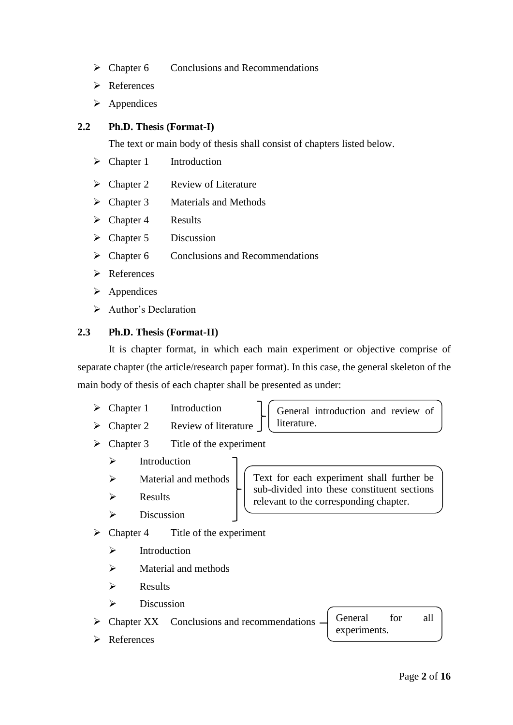- $\triangleright$  Chapter 6 Conclusions and Recommendations
- **►** References
- $\triangleright$  Appendices

## **2.2 Ph.D. Thesis (Format-I)**

The text or main body of thesis shall consist of chapters listed below.

- $\triangleright$  Chapter 1 Introduction
- $\triangleright$  Chapter 2 Review of Literature
- $\triangleright$  Chapter 3 Materials and Methods
- $\triangleright$  Chapter 4 Results
- $\triangleright$  Chapter 5 Discussion
- $\triangleright$  Chapter 6 Conclusions and Recommendations
- **Exercered**
- $\triangleright$  Appendices
- $\triangleright$  Author's Declaration

# **2.3 Ph.D. Thesis (Format-II)**

It is chapter format, in which each main experiment or objective comprise of separate chapter (the article/research paper format). In this case, the general skeleton of the main body of thesis of each chapter shall be presented as under:

- $\triangleright$  Chapter 1 Introduction
- $\triangleright$  Chapter 2 Review of literature

General introduction and review of literature.

- $\triangleright$  Chapter 3 Title of the experiment
	- $\triangleright$  Introduction
	- $\triangleright$  Material and methods
	- $\triangleright$  Results
	- $\triangleright$  Discussion
- $\triangleright$  Chapter 4 Title of the experiment
	- $\triangleright$  Introduction
	- $\triangleright$  Material and methods
	- $\triangleright$  Results
	- $\triangleright$  Discussion

 $\triangleright$  Chapter XX Conclusions and recommendations

**►** References

Text for each experiment shall further be sub-divided into these constituent sections relevant to the corresponding chapter.

General for all

experiments.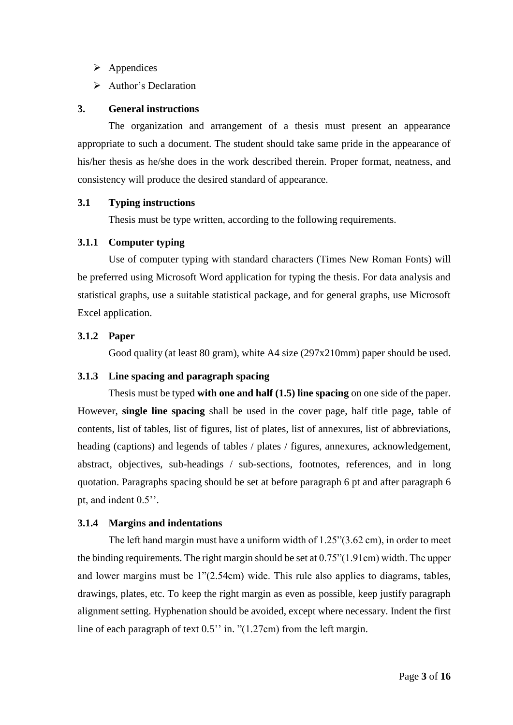- $\triangleright$  Appendices
- Author's Declaration

## **3. General instructions**

The organization and arrangement of a thesis must present an appearance appropriate to such a document. The student should take same pride in the appearance of his/her thesis as he/she does in the work described therein. Proper format, neatness, and consistency will produce the desired standard of appearance.

# **3.1 Typing instructions**

Thesis must be type written, according to the following requirements.

# **3.1.1 Computer typing**

Use of computer typing with standard characters (Times New Roman Fonts) will be preferred using Microsoft Word application for typing the thesis. For data analysis and statistical graphs, use a suitable statistical package, and for general graphs, use Microsoft Excel application.

# **3.1.2 Paper**

Good quality (at least 80 gram), white A4 size (297x210mm) paper should be used.

## **3.1.3 Line spacing and paragraph spacing**

Thesis must be typed **with one and half (1.5) line spacing** on one side of the paper. However, **single line spacing** shall be used in the cover page, half title page, table of contents, list of tables, list of figures, list of plates, list of annexures, list of abbreviations, heading (captions) and legends of tables / plates / figures, annexures, acknowledgement, abstract, objectives, sub-headings / sub-sections, footnotes, references, and in long quotation. Paragraphs spacing should be set at before paragraph 6 pt and after paragraph 6 pt, and indent 0.5''.

# **3.1.4 Margins and indentations**

The left hand margin must have a uniform width of 1.25"(3.62 cm), in order to meet the binding requirements. The right margin should be set at  $0.75$ " $(1.91cm)$  width. The upper and lower margins must be 1"(2.54cm) wide. This rule also applies to diagrams, tables, drawings, plates, etc. To keep the right margin as even as possible, keep justify paragraph alignment setting. Hyphenation should be avoided, except where necessary. Indent the first line of each paragraph of text 0.5'' in. "(1.27cm) from the left margin.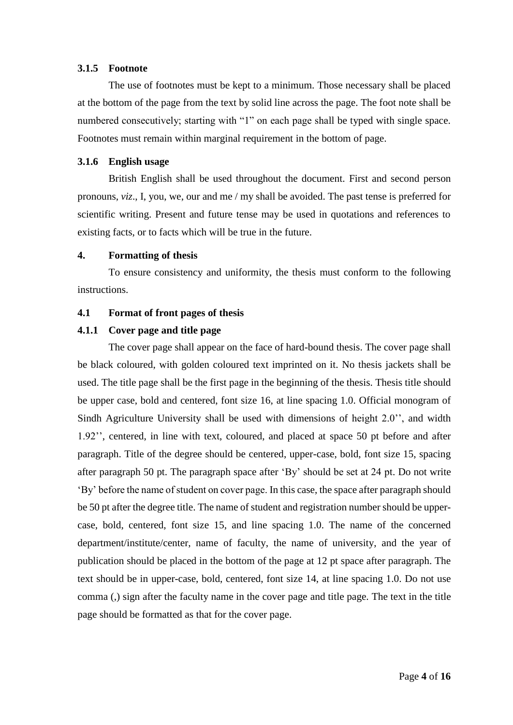#### **3.1.5 Footnote**

The use of footnotes must be kept to a minimum. Those necessary shall be placed at the bottom of the page from the text by solid line across the page. The foot note shall be numbered consecutively; starting with "1" on each page shall be typed with single space. Footnotes must remain within marginal requirement in the bottom of page.

#### **3.1.6 English usage**

British English shall be used throughout the document. First and second person pronouns, *viz*., I, you, we, our and me / my shall be avoided. The past tense is preferred for scientific writing. Present and future tense may be used in quotations and references to existing facts, or to facts which will be true in the future.

#### **4. Formatting of thesis**

To ensure consistency and uniformity, the thesis must conform to the following instructions.

#### **4.1 Format of front pages of thesis**

### **4.1.1 Cover page and title page**

The cover page shall appear on the face of hard-bound thesis. The cover page shall be black coloured, with golden coloured text imprinted on it. No thesis jackets shall be used. The title page shall be the first page in the beginning of the thesis. Thesis title should be upper case, bold and centered, font size 16, at line spacing 1.0. Official monogram of Sindh Agriculture University shall be used with dimensions of height 2.0'', and width 1.92'', centered, in line with text, coloured, and placed at space 50 pt before and after paragraph. Title of the degree should be centered, upper-case, bold, font size 15, spacing after paragraph 50 pt. The paragraph space after 'By' should be set at 24 pt. Do not write 'By' before the name of student on cover page. In this case, the space after paragraph should be 50 pt after the degree title. The name of student and registration number should be uppercase, bold, centered, font size 15, and line spacing 1.0. The name of the concerned department/institute/center, name of faculty, the name of university, and the year of publication should be placed in the bottom of the page at 12 pt space after paragraph. The text should be in upper-case, bold, centered, font size 14, at line spacing 1.0. Do not use comma (,) sign after the faculty name in the cover page and title page. The text in the title page should be formatted as that for the cover page.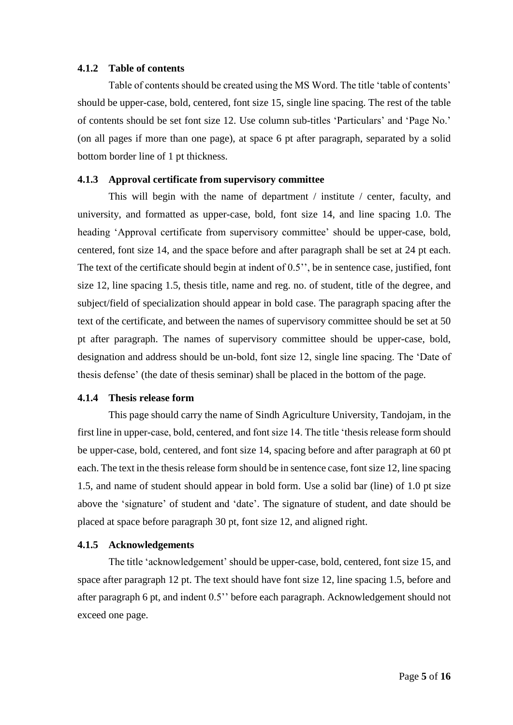#### **4.1.2 Table of contents**

Table of contents should be created using the MS Word. The title 'table of contents' should be upper-case, bold, centered, font size 15, single line spacing. The rest of the table of contents should be set font size 12. Use column sub-titles 'Particulars' and 'Page No.' (on all pages if more than one page), at space 6 pt after paragraph, separated by a solid bottom border line of 1 pt thickness.

#### **4.1.3 Approval certificate from supervisory committee**

This will begin with the name of department / institute / center, faculty, and university, and formatted as upper-case, bold, font size 14, and line spacing 1.0. The heading 'Approval certificate from supervisory committee' should be upper-case, bold, centered, font size 14, and the space before and after paragraph shall be set at 24 pt each. The text of the certificate should begin at indent of 0.5'', be in sentence case, justified, font size 12, line spacing 1.5, thesis title, name and reg. no. of student, title of the degree, and subject/field of specialization should appear in bold case. The paragraph spacing after the text of the certificate, and between the names of supervisory committee should be set at 50 pt after paragraph. The names of supervisory committee should be upper-case, bold, designation and address should be un-bold, font size 12, single line spacing. The 'Date of thesis defense' (the date of thesis seminar) shall be placed in the bottom of the page.

#### **4.1.4 Thesis release form**

This page should carry the name of Sindh Agriculture University, Tandojam, in the first line in upper-case, bold, centered, and font size 14. The title 'thesis release form should be upper-case, bold, centered, and font size 14, spacing before and after paragraph at 60 pt each. The text in the thesis release form should be in sentence case, font size 12, line spacing 1.5, and name of student should appear in bold form. Use a solid bar (line) of 1.0 pt size above the 'signature' of student and 'date'. The signature of student, and date should be placed at space before paragraph 30 pt, font size 12, and aligned right.

#### **4.1.5 Acknowledgements**

The title 'acknowledgement' should be upper-case, bold, centered, font size 15, and space after paragraph 12 pt. The text should have font size 12, line spacing 1.5, before and after paragraph 6 pt, and indent 0.5'' before each paragraph. Acknowledgement should not exceed one page.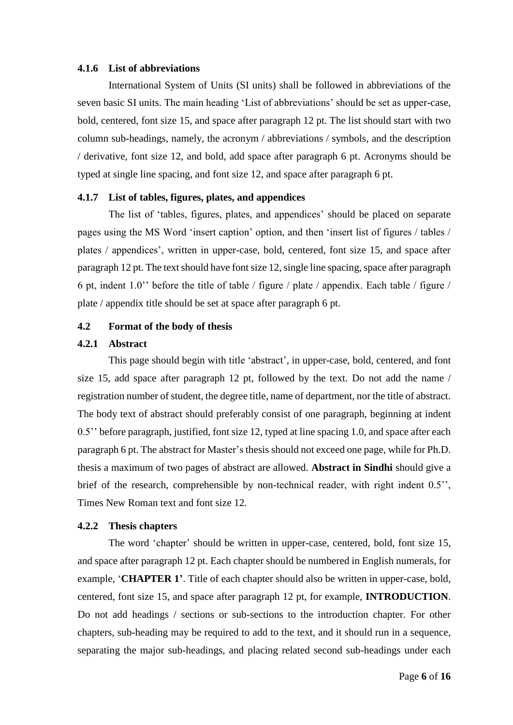#### **4.1.6 List of abbreviations**

International System of Units (SI units) shall be followed in abbreviations of the seven basic SI units. The main heading 'List of abbreviations' should be set as upper-case, bold, centered, font size 15, and space after paragraph 12 pt. The list should start with two column sub-headings, namely, the acronym / abbreviations / symbols, and the description / derivative, font size 12, and bold, add space after paragraph 6 pt. Acronyms should be typed at single line spacing, and font size 12, and space after paragraph 6 pt.

#### **4.1.7 List of tables, figures, plates, and appendices**

The list of 'tables, figures, plates, and appendices' should be placed on separate pages using the MS Word 'insert caption' option, and then 'insert list of figures / tables / plates / appendices', written in upper-case, bold, centered, font size 15, and space after paragraph 12 pt. The text should have font size 12, single line spacing, space after paragraph 6 pt, indent 1.0'' before the title of table / figure / plate / appendix. Each table / figure / plate / appendix title should be set at space after paragraph 6 pt.

### **4.2 Format of the body of thesis**

## **4.2.1 Abstract**

This page should begin with title 'abstract', in upper-case, bold, centered, and font size 15, add space after paragraph 12 pt, followed by the text. Do not add the name / registration number of student, the degree title, name of department, nor the title of abstract. The body text of abstract should preferably consist of one paragraph, beginning at indent 0.5'' before paragraph, justified, font size 12, typed at line spacing 1.0, and space after each paragraph 6 pt. The abstract for Master's thesis should not exceed one page, while for Ph.D. thesis a maximum of two pages of abstract are allowed. **Abstract in Sindhi** should give a brief of the research, comprehensible by non-technical reader, with right indent 0.5'', Times New Roman text and font size 12.

### **4.2.2 Thesis chapters**

The word 'chapter' should be written in upper-case, centered, bold, font size 15, and space after paragraph 12 pt. Each chapter should be numbered in English numerals, for example, '**CHAPTER 1'**. Title of each chapter should also be written in upper-case, bold, centered, font size 15, and space after paragraph 12 pt, for example, **INTRODUCTION**. Do not add headings / sections or sub-sections to the introduction chapter. For other chapters, sub-heading may be required to add to the text, and it should run in a sequence, separating the major sub-headings, and placing related second sub-headings under each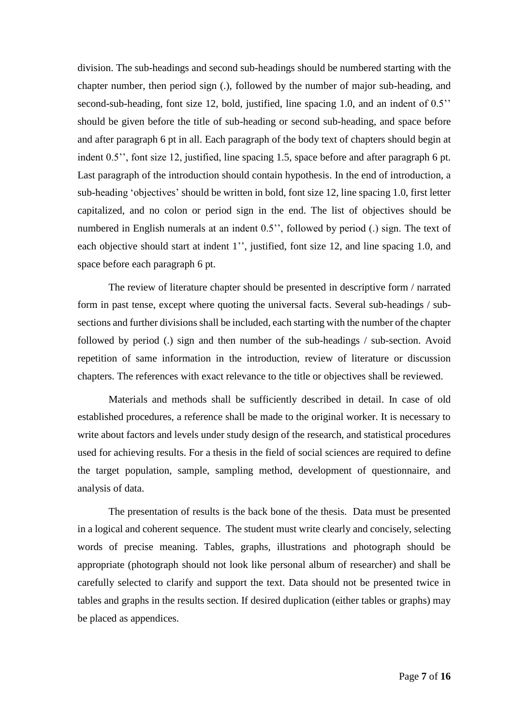division. The sub-headings and second sub-headings should be numbered starting with the chapter number, then period sign (.), followed by the number of major sub-heading, and second-sub-heading, font size 12, bold, justified, line spacing 1.0, and an indent of 0.5'' should be given before the title of sub-heading or second sub-heading, and space before and after paragraph 6 pt in all. Each paragraph of the body text of chapters should begin at indent 0.5'', font size 12, justified, line spacing 1.5, space before and after paragraph 6 pt. Last paragraph of the introduction should contain hypothesis. In the end of introduction, a sub-heading 'objectives' should be written in bold, font size 12, line spacing 1.0, first letter capitalized, and no colon or period sign in the end. The list of objectives should be numbered in English numerals at an indent 0.5", followed by period (.) sign. The text of each objective should start at indent 1", justified, font size 12, and line spacing 1.0, and space before each paragraph 6 pt.

The review of literature chapter should be presented in descriptive form / narrated form in past tense, except where quoting the universal facts. Several sub-headings / subsections and further divisions shall be included, each starting with the number of the chapter followed by period (.) sign and then number of the sub-headings / sub-section. Avoid repetition of same information in the introduction, review of literature or discussion chapters. The references with exact relevance to the title or objectives shall be reviewed.

Materials and methods shall be sufficiently described in detail. In case of old established procedures, a reference shall be made to the original worker. It is necessary to write about factors and levels under study design of the research, and statistical procedures used for achieving results. For a thesis in the field of social sciences are required to define the target population, sample, sampling method, development of questionnaire, and analysis of data.

The presentation of results is the back bone of the thesis. Data must be presented in a logical and coherent sequence. The student must write clearly and concisely, selecting words of precise meaning. Tables, graphs, illustrations and photograph should be appropriate (photograph should not look like personal album of researcher) and shall be carefully selected to clarify and support the text. Data should not be presented twice in tables and graphs in the results section. If desired duplication (either tables or graphs) may be placed as appendices.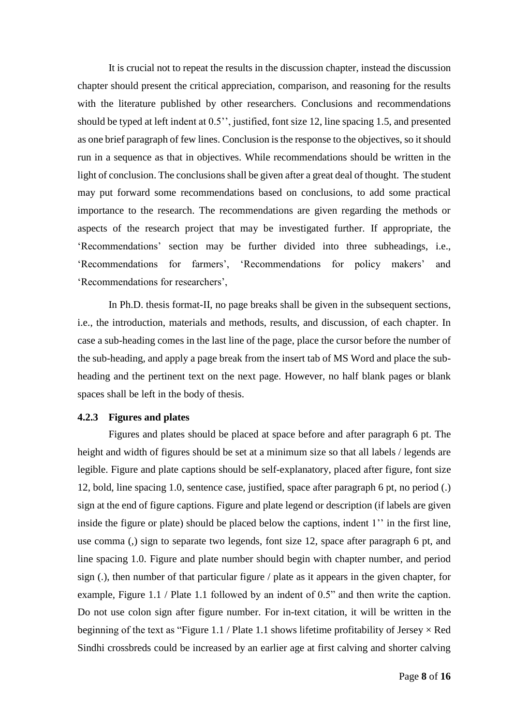It is crucial not to repeat the results in the discussion chapter, instead the discussion chapter should present the critical appreciation, comparison, and reasoning for the results with the literature published by other researchers. Conclusions and recommendations should be typed at left indent at 0.5'', justified, font size 12, line spacing 1.5, and presented as one brief paragraph of few lines. Conclusion is the response to the objectives, so it should run in a sequence as that in objectives. While recommendations should be written in the light of conclusion. The conclusions shall be given after a great deal of thought. The student may put forward some recommendations based on conclusions, to add some practical importance to the research. The recommendations are given regarding the methods or aspects of the research project that may be investigated further. If appropriate, the 'Recommendations' section may be further divided into three subheadings, i.e., 'Recommendations for farmers', 'Recommendations for policy makers' and 'Recommendations for researchers',

In Ph.D. thesis format-II, no page breaks shall be given in the subsequent sections, i.e., the introduction, materials and methods, results, and discussion, of each chapter. In case a sub-heading comes in the last line of the page, place the cursor before the number of the sub-heading, and apply a page break from the insert tab of MS Word and place the subheading and the pertinent text on the next page. However, no half blank pages or blank spaces shall be left in the body of thesis.

#### **4.2.3 Figures and plates**

Figures and plates should be placed at space before and after paragraph 6 pt. The height and width of figures should be set at a minimum size so that all labels / legends are legible. Figure and plate captions should be self-explanatory, placed after figure, font size 12, bold, line spacing 1.0, sentence case, justified, space after paragraph 6 pt, no period (.) sign at the end of figure captions. Figure and plate legend or description (if labels are given inside the figure or plate) should be placed below the captions, indent 1'' in the first line, use comma (,) sign to separate two legends, font size 12, space after paragraph 6 pt, and line spacing 1.0. Figure and plate number should begin with chapter number, and period sign (.), then number of that particular figure / plate as it appears in the given chapter, for example, Figure 1.1 / Plate 1.1 followed by an indent of 0.5" and then write the caption. Do not use colon sign after figure number. For in-text citation, it will be written in the beginning of the text as "Figure 1.1 / Plate 1.1 shows lifetime profitability of Jersey  $\times$  Red Sindhi crossbreds could be increased by an earlier age at first calving and shorter calving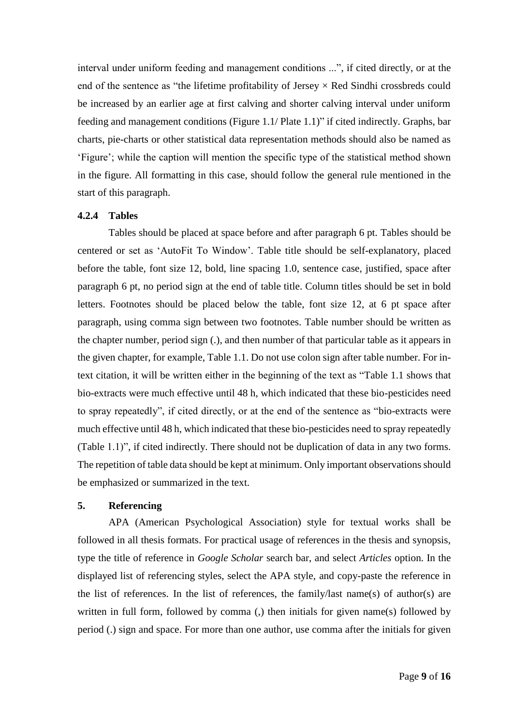interval under uniform feeding and management conditions ...", if cited directly, or at the end of the sentence as "the lifetime profitability of Jersey  $\times$  Red Sindhi crossbreds could be increased by an earlier age at first calving and shorter calving interval under uniform feeding and management conditions (Figure 1.1/ Plate 1.1)" if cited indirectly. Graphs, bar charts, pie-charts or other statistical data representation methods should also be named as 'Figure'; while the caption will mention the specific type of the statistical method shown in the figure. All formatting in this case, should follow the general rule mentioned in the start of this paragraph.

# **4.2.4 Tables**

Tables should be placed at space before and after paragraph 6 pt. Tables should be centered or set as 'AutoFit To Window'. Table title should be self-explanatory, placed before the table, font size 12, bold, line spacing 1.0, sentence case, justified, space after paragraph 6 pt, no period sign at the end of table title. Column titles should be set in bold letters. Footnotes should be placed below the table, font size 12, at 6 pt space after paragraph, using comma sign between two footnotes. Table number should be written as the chapter number, period sign (.), and then number of that particular table as it appears in the given chapter, for example, Table 1.1. Do not use colon sign after table number. For intext citation, it will be written either in the beginning of the text as "Table 1.1 shows that bio-extracts were much effective until 48 h, which indicated that these bio-pesticides need to spray repeatedly", if cited directly, or at the end of the sentence as "bio-extracts were much effective until 48 h, which indicated that these bio-pesticides need to spray repeatedly (Table 1.1)", if cited indirectly. There should not be duplication of data in any two forms. The repetition of table data should be kept at minimum. Only important observations should be emphasized or summarized in the text.

## **5. Referencing**

APA (American Psychological Association) style for textual works shall be followed in all thesis formats. For practical usage of references in the thesis and synopsis, type the title of reference in *Google Scholar* search bar, and select *Articles* option. In the displayed list of referencing styles, select the APA style, and copy-paste the reference in the list of references. In the list of references, the family/last name(s) of author(s) are written in full form, followed by comma (,) then initials for given name(s) followed by period (.) sign and space. For more than one author, use comma after the initials for given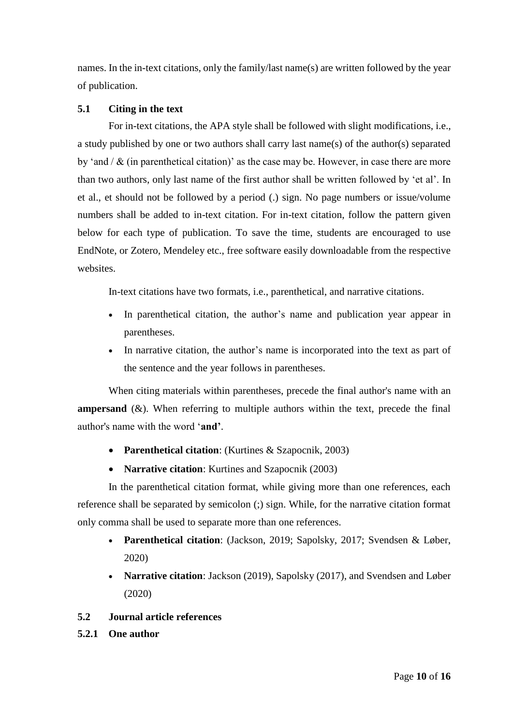names. In the in-text citations, only the family/last name(s) are written followed by the year of publication.

# **5.1 Citing in the text**

For in-text citations, the APA style shall be followed with slight modifications, i.e., a study published by one or two authors shall carry last name(s) of the author(s) separated by 'and  $/ \&$  (in parenthetical citation)' as the case may be. However, in case there are more than two authors, only last name of the first author shall be written followed by 'et al'. In et al., et should not be followed by a period (.) sign. No page numbers or issue/volume numbers shall be added to in-text citation. For in-text citation, follow the pattern given below for each type of publication. To save the time, students are encouraged to use EndNote, or Zotero, Mendeley etc., free software easily downloadable from the respective websites.

In-text citations have two formats, i.e., parenthetical, and narrative citations.

- In parenthetical citation, the author's name and publication year appear in parentheses.
- In narrative citation, the author's name is incorporated into the text as part of the sentence and the year follows in parentheses.

When citing materials within parentheses, precede the final author's name with an **ampersand**  $(\&)$ . When referring to multiple authors within the text, precede the final author's name with the word '**and'**.

- **Parenthetical citation**: (Kurtines & Szapocnik, 2003)
- **Narrative citation**: Kurtines and Szapocnik (2003)

In the parenthetical citation format, while giving more than one references, each reference shall be separated by semicolon (;) sign. While, for the narrative citation format only comma shall be used to separate more than one references.

- **Parenthetical citation**: (Jackson, 2019; Sapolsky, 2017; Svendsen & Løber, 2020)
- **Narrative citation**: Jackson (2019), Sapolsky (2017), and Svendsen and Løber (2020)

# **5.2 Journal article references**

**5.2.1 One author**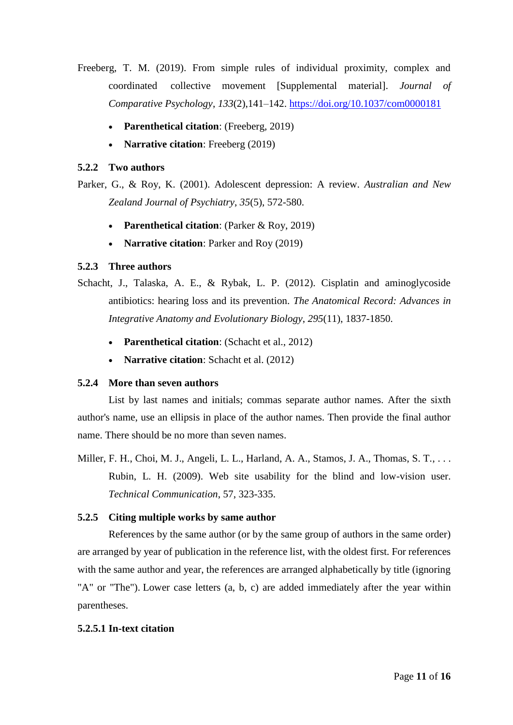- Freeberg, T. M. (2019). From simple rules of individual proximity, complex and coordinated collective movement [Supplemental material]. *Journal of Comparative Psychology*, *133*(2),141–142. <https://doi.org/10.1037/com0000181>
	- **Parenthetical citation**: (Freeberg, 2019)
	- **Narrative citation**: Freeberg (2019)

### **5.2.2 Two authors**

Parker, G., & Roy, K. (2001). Adolescent depression: A review. *Australian and New Zealand Journal of Psychiatry*, *35*(5), 572-580.

- **Parenthetical citation**: (Parker & Roy, 2019)
- **Narrative citation**: Parker and Roy (2019)

### **5.2.3 Three authors**

Schacht, J., Talaska, A. E., & Rybak, L. P. (2012). Cisplatin and aminoglycoside antibiotics: hearing loss and its prevention. *The Anatomical Record: Advances in Integrative Anatomy and Evolutionary Biology*, *295*(11), 1837-1850.

- **Parenthetical citation**: (Schacht et al., 2012)
- **Narrative citation**: Schacht et al. (2012)

### **5.2.4 More than seven authors**

List by last names and initials; commas separate author names. After the sixth author's name, use an ellipsis in place of the author names. Then provide the final author name. There should be no more than seven names.

Miller, F. H., Choi, M. J., Angeli, L. L., Harland, A. A., Stamos, J. A., Thomas, S. T., . . . Rubin, L. H. (2009). Web site usability for the blind and low-vision user. *Technical Communication*, 57, 323-335.

### **5.2.5 Citing multiple works by same author**

References by the same author (or by the same group of authors in the same order) are arranged by year of publication in the reference list, with the oldest first. For references with the same author and year, the references are arranged alphabetically by title (ignoring "A" or "The"). Lower case letters (a, b, c) are added immediately after the year within parentheses.

### **5.2.5.1 In-text citation**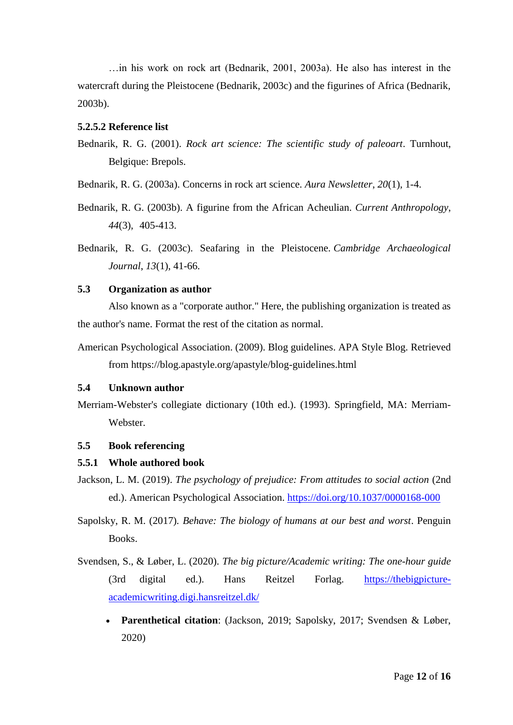…in his work on rock art (Bednarik, 2001, 2003a). He also has interest in the watercraft during the Pleistocene (Bednarik, 2003c) and the figurines of Africa (Bednarik, 2003b).

### **5.2.5.2 Reference list**

Bednarik, R. G. (2001). *Rock art science: The scientific study of paleoart*. Turnhout, Belgique: Brepols.

Bednarik, R. G. (2003a). Concerns in rock art science. *Aura Newsletter*, *20*(1), 1-4.

- Bednarik, R. G. (2003b). A figurine from the African Acheulian. *Current Anthropology*, *44*(3), 405-413.
- Bednarik, R. G. (2003c). Seafaring in the Pleistocene. *Cambridge Archaeological Journal*, *13*(1), 41-66.

# **5.3 Organization as author**

Also known as a "corporate author." Here, the publishing organization is treated as the author's name. Format the rest of the citation as normal.

American Psychological Association. (2009). Blog guidelines. APA Style Blog. Retrieved from https://blog.apastyle.org/apastyle/blog-guidelines.html

## **5.4 Unknown author**

Merriam-Webster's collegiate dictionary (10th ed.). (1993). Springfield, MA: Merriam-Webster.

### **5.5 Book referencing**

#### **5.5.1 Whole authored book**

Jackson, L. M. (2019). *The psychology of prejudice: From attitudes to social action* (2nd ed.). American Psychological Association.<https://doi.org/10.1037/0000168-000>

Sapolsky, R. M. (2017)*. Behave: The biology of humans at our best and worst*. Penguin Books.

- Svendsen, S., & Løber, L. (2020). *The big picture/Academic writing: The one-hour guide* (3rd digital ed.). Hans Reitzel Forlag. https://thebigpictureacademicwriting.digi.hansreitzel.dk/
	- **Parenthetical citation**: (Jackson, 2019; Sapolsky, 2017; Svendsen & Løber, 2020)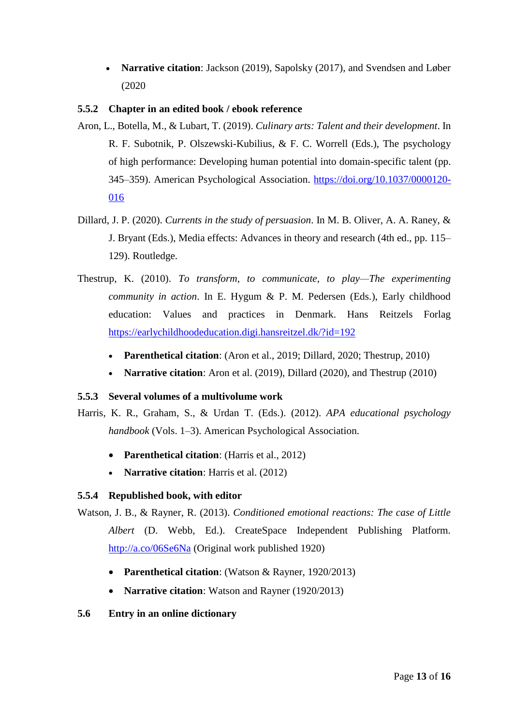• **Narrative citation**: Jackson (2019), Sapolsky (2017), and Svendsen and Løber (2020

# **5.5.2 Chapter in an edited book / ebook reference**

- Aron, L., Botella, M., & Lubart, T. (2019). *Culinary arts: Talent and their development*. In R. F. Subotnik, P. Olszewski-Kubilius, & F. C. Worrell (Eds.), The psychology of high performance: Developing human potential into domain-specific talent (pp. 345–359). American Psychological Association. [https://doi.org/10.1037/0000120-](https://doi.org/10.1037/0000120-%09016) [016](https://doi.org/10.1037/0000120-%09016)
- Dillard, J. P. (2020). *Currents in the study of persuasion*. In M. B. Oliver, A. A. Raney, & J. Bryant (Eds.), Media effects: Advances in theory and research (4th ed., pp. 115– 129). Routledge.
- Thestrup, K. (2010). *To transform, to communicate, to play—The experimenting community in action*. In E. Hygum & P. M. Pedersen (Eds.), Early childhood education: Values and practices in Denmark. Hans Reitzels Forlag <https://earlychildhoodeducation.digi.hansreitzel.dk/?id=192>
	- **Parenthetical citation**: (Aron et al., 2019; Dillard, 2020; Thestrup, 2010)
	- **Narrative citation**: Aron et al. (2019), Dillard (2020), and Thestrup (2010)

# **5.5.3 Several volumes of a multivolume work**

Harris, K. R., Graham, S., & Urdan T. (Eds.). (2012). *APA educational psychology handbook* (Vols. 1–3). American Psychological Association.

- **Parenthetical citation**: (Harris et al., 2012)
- **Narrative citation**: Harris et al. (2012)

# **5.5.4 Republished book, with editor**

- Watson, J. B., & Rayner, R. (2013). *Conditioned emotional reactions: The case of Little Albert* (D. Webb, Ed.). CreateSpace Independent Publishing Platform. <http://a.co/06Se6Na> (Original work published 1920)
	- **Parenthetical citation**: (Watson & Rayner, 1920/2013)
	- **Narrative citation**: Watson and Rayner (1920/2013)

# **5.6 Entry in an online dictionary**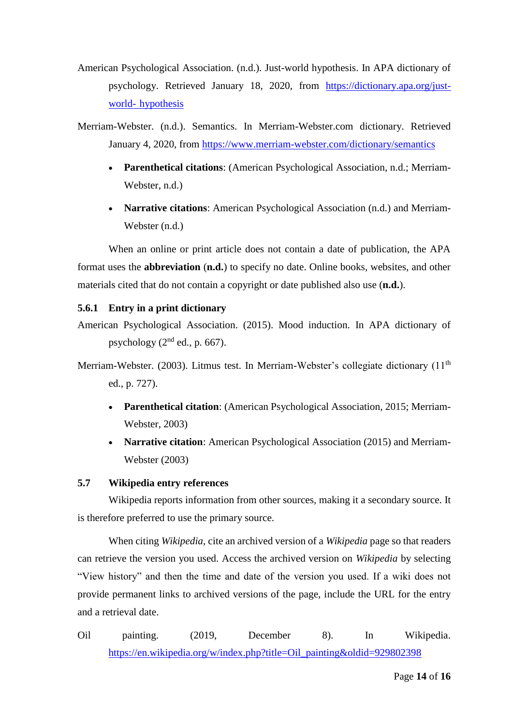- American Psychological Association. (n.d.). Just-world hypothesis. In APA dictionary of psychology. Retrieved January 18, 2020, from [https://dictionary.apa.org/just](https://dictionary.apa.org/just-%09world-%09hypothesis)world- [hypothesis](https://dictionary.apa.org/just-%09world-%09hypothesis)
- Merriam-Webster. (n.d.). Semantics. In Merriam-Webster.com dictionary. Retrieved January 4, 2020, from<https://www.merriam-webster.com/dictionary/semantics>
	- **Parenthetical citations**: (American Psychological Association, n.d.; Merriam-Webster, n.d.)
	- **Narrative citations**: American Psychological Association (n.d.) and Merriam-Webster (n.d.)

When an online or print article does not contain a date of publication, the APA format uses the **abbreviation** (**n.d.**) to specify no date. Online books, websites, and other materials cited that do not contain a copyright or date published also use (**n.d.**).

# **5.6.1 Entry in a print dictionary**

American Psychological Association. (2015). Mood induction. In APA dictionary of psychology  $(2<sup>nd</sup>$  ed., p. 667).

Merriam-Webster. (2003). Litmus test. In Merriam-Webster's collegiate dictionary (11<sup>th</sup> ed., p. 727).

- **Parenthetical citation**: (American Psychological Association, 2015; Merriam-Webster, 2003)
- **Narrative citation**: American Psychological Association (2015) and Merriam-Webster (2003)

# **5.7 Wikipedia entry references**

Wikipedia reports information from other sources, making it a secondary source. It is therefore preferred to use the primary source.

When citing *Wikipedia*, cite an archived version of a *Wikipedia* page so that readers can retrieve the version you used. Access the archived version on *Wikipedia* by selecting "View history" and then the time and date of the version you used. If a wiki does not provide permanent links to archived versions of the page, include the URL for the entry and a retrieval date.

Oil painting. (2019, December 8). In Wikipedia. [https://en.wikipedia.org/w/index.php?title=Oil\\_painting&oldid=929802398](https://en.wikipedia.org/w/index.php?title=Oil_painting&oldid=929802398)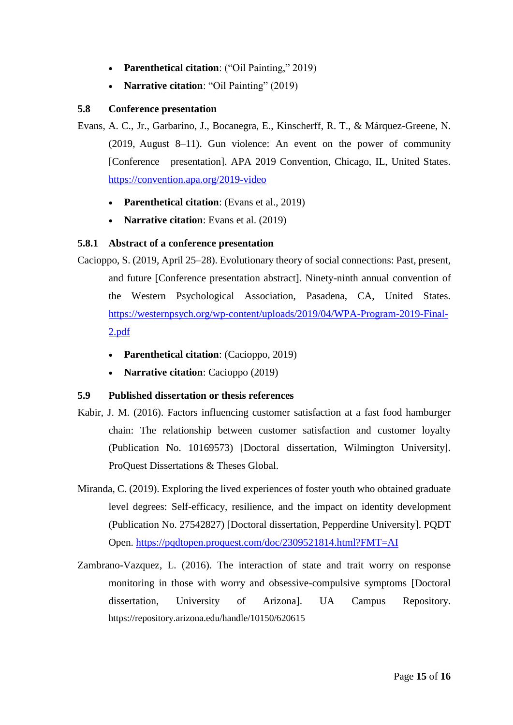- **Parenthetical citation**: ("Oil Painting," 2019)
- **Narrative citation**: "Oil Painting" (2019)

## **5.8 Conference presentation**

- Evans, A. C., Jr., Garbarino, J., Bocanegra, E., Kinscherff, R. T., & Márquez-Greene, N. (2019, August 8–11). Gun violence: An event on the power of community [Conference presentation]. APA 2019 Convention, Chicago, IL, United States. <https://convention.apa.org/2019-video>
	- **Parenthetical citation**: (Evans et al., 2019)
	- **Narrative citation**: Evans et al. (2019)

# **5.8.1 Abstract of a conference presentation**

- Cacioppo, S. (2019, April 25–28). Evolutionary theory of social connections: Past, present, and future [Conference presentation abstract]. Ninety-ninth annual convention of the Western Psychological Association, Pasadena, CA, United States. [https://westernpsych.org/wp-content/uploads/2019/04/WPA-Program-2019-Final-](https://westernpsych.org/wp-content/uploads/2019/04/WPA-Program-2019-Final-2.pdf)[2.pdf](https://westernpsych.org/wp-content/uploads/2019/04/WPA-Program-2019-Final-2.pdf)
	- **Parenthetical citation**: (Cacioppo, 2019)
	- **Narrative citation**: Cacioppo (2019)

### **5.9 Published dissertation or thesis references**

- Kabir, J. M. (2016). Factors influencing customer satisfaction at a fast food hamburger chain: The relationship between customer satisfaction and customer loyalty (Publication No. 10169573) [Doctoral dissertation, Wilmington University]. ProQuest Dissertations & Theses Global.
- Miranda, C. (2019). Exploring the lived experiences of foster youth who obtained graduate level degrees: Self-efficacy, resilience, and the impact on identity development (Publication No. 27542827) [Doctoral dissertation, Pepperdine University]. PQDT Open.<https://pqdtopen.proquest.com/doc/2309521814.html?FMT=AI>
- Zambrano-Vazquez, L. (2016). The interaction of state and trait worry on response monitoring in those with worry and obsessive-compulsive symptoms [Doctoral dissertation, University of Arizona]. UA Campus Repository. <https://repository.arizona.edu/handle/10150/620615>